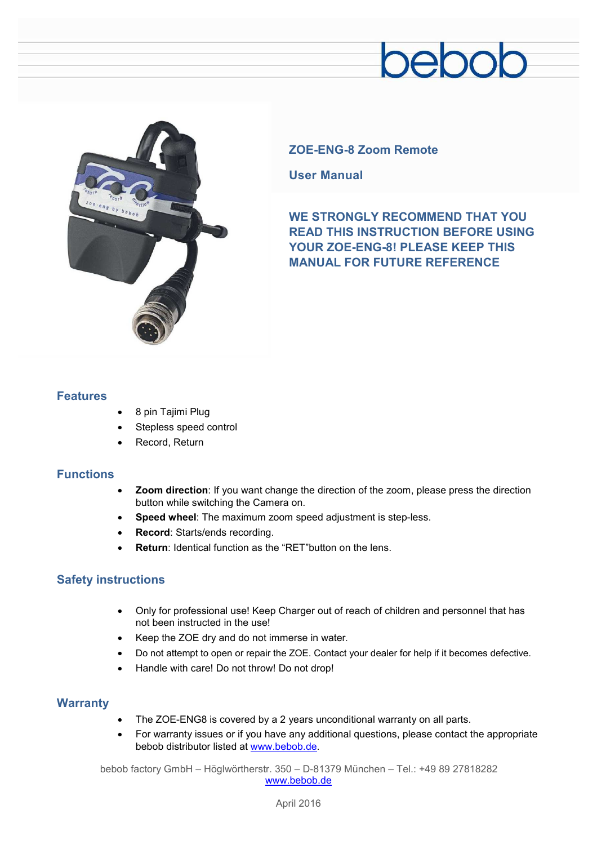## pebob



### **ZOE-ENG-8 Zoom Remote**

**User Manual** 

**WE STRONGLY RECOMMEND THAT YOU READ THIS INSTRUCTION BEFORE USING YOUR ZOE-ENG-8! PLEASE KEEP THIS MANUAL FOR FUTURE REFERENCE** 

#### **Features**

- · 8 pin Tajimi Plug
- Stepless speed control
- Record, Return

#### **Functions**

- · **Zoom direction**: If you want change the direction of the zoom, please press the direction button while switching the Camera on.
- · **Speed wheel**: The maximum zoom speed adjustment is step-less.
- **Record: Starts/ends recording.**
- **Return:** Identical function as the "RET" button on the lens.

#### **Safety instructions**

- · Only for professional use! Keep Charger out of reach of children and personnel that has not been instructed in the use!
- · Keep the ZOE dry and do not immerse in water.
- · Do not attempt to open or repair the ZOE. Contact your dealer for help if it becomes defective.
- · Handle with care! Do not throw! Do not drop!

#### **Warranty**

- The ZOE-ENG8 is covered by a 2 years unconditional warranty on all parts.
- For warranty issues or if you have any additional questions, please contact the appropriate bebob distributor listed at [www.bebob.de.](http://www.bebob.de)

bebob factory GmbH – Höglwörtherstr. 350 – D-81379 München – Tel.: +49 89 27818282 [www.bebob.de](http://www.bebob.de)